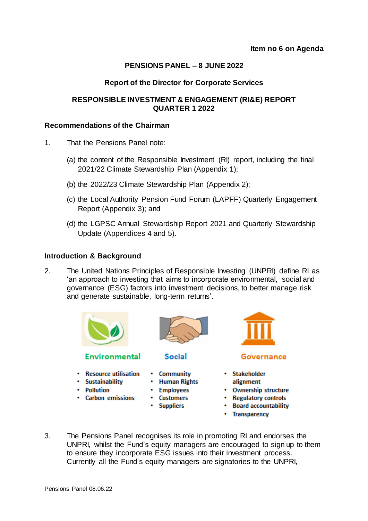# **PENSIONS PANEL – 8 JUNE 2022**

## **Report of the Director for Corporate Services**

## **RESPONSIBLE INVESTMENT & ENGAGEMENT (RI&E) REPORT QUARTER 1 2022**

#### **Recommendations of the Chairman**

- 1. That the Pensions Panel note:
	- (a) the content of the Responsible Investment (RI) report, including the final 2021/22 Climate Stewardship Plan (Appendix 1);
	- (b) the 2022/23 Climate Stewardship Plan (Appendix 2);
	- (c) the Local Authority Pension Fund Forum (LAPFF) Quarterly Engagement Report (Appendix 3); and
	- (d) the LGPSC Annual Stewardship Report 2021 and Quarterly Stewardship Update (Appendices 4 and 5).

#### **Introduction & Background**

2. The United Nations Principles of Responsible Investing (UNPRI) define RI as 'an approach to investing that aims to incorporate environmental, social and governance (ESG) factors into investment decisions, to better manage risk and generate sustainable, long-term returns'.



# **Environmental**

- Resource utilisation
- Sustainability
- Pollution
- Carbon emissions



## **Social**

- Community
- Human Rights
- Employees
- **Customers**
- Suppliers



#### Governance

- Stakeholder alignment
- Ownership structure
- Regulatory controls
- Board accountability
- Transparency
- 3. The Pensions Panel recognises its role in promoting RI and endorses the UNPRI, whilst the Fund's equity managers are encouraged to sign up to them to ensure they incorporate ESG issues into their investment process. Currently all the Fund's equity managers are signatories to the UNPRI,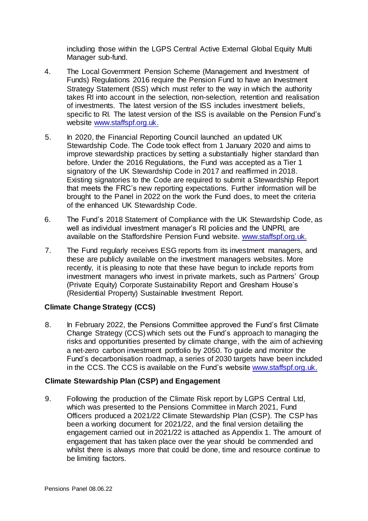including those within the LGPS Central Active External Global Equity Multi Manager sub-fund.

- 4. The Local Government Pension Scheme (Management and Investment of Funds) Regulations 2016 require the Pension Fund to have an Investment Strategy Statement (ISS) which must refer to the way in which the authority takes RI into account in the selection, non-selection, retention and realisation of investments. The latest version of the ISS includes investment beliefs, specific to RI. The latest version of the ISS is available on the Pension Fund's website [www.staffspf.org.uk.](http://www.staffspf.org.uk/)
- 5. In 2020, the Financial Reporting Council launched an updated UK Stewardship Code. The Code took effect from 1 January 2020 and aims to improve stewardship practices by setting a substantially higher standard than before. Under the 2016 Regulations, the Fund was accepted as a Tier 1 signatory of the UK Stewardship Code in 2017 and reaffirmed in 2018. Existing signatories to the Code are required to submit a Stewardship Report that meets the FRC's new reporting expectations. Further information will be brought to the Panel in 2022 on the work the Fund does, to meet the criteria of the enhanced UK Stewardship Code.
- 6. The Fund's 2018 Statement of Compliance with the UK Stewardship Code, as well as individual investment manager's RI policies and the UNPRI, are available on the Staffordshire Pension Fund website. [www.staffspf.org.uk.](https://www.staffspf.org.uk/Finance-and-Investments/Corporate-Governance-and-Responsible-Investment/Corporate-Governance.aspx)
- 7. The Fund regularly receives ESG reports from its investment managers, and these are publicly available on the investment managers websites. More recently, it is pleasing to note that these have begun to include reports from investment managers who invest in private markets, such as Partners' Group (Private Equity) Corporate Sustainability Report and Gresham House's (Residential Property) Sustainable Investment Report.

## **Climate Change Strategy (CCS)**

8. In February 2022, the Pensions Committee approved the Fund's first Climate Change Strategy (CCS) which sets out the Fund's approach to managing the risks and opportunities presented by climate change, with the aim of achieving a net-zero carbon investment portfolio by 2050. To guide and monitor the Fund's decarbonisation roadmap, a series of 2030 targets have been included in the CCS. The CCS is available on the Fund's website [www.staffspf.org.uk.](https://www.staffspf.org.uk/Finance-and-Investments/Corporate-Governance-and-Responsible-Investment/Corporate-Governance.aspx)

## **Climate Stewardship Plan (CSP) and Engagement**

9. Following the production of the Climate Risk report by LGPS Central Ltd, which was presented to the Pensions Committee in March 2021, Fund Officers produced a 2021/22 Climate Stewardship Plan (CSP). The CSP has been a working document for 2021/22, and the final version detailing the engagement carried out in 2021/22 is attached as Appendix 1. The amount of engagement that has taken place over the year should be commended and whilst there is always more that could be done, time and resource continue to be limiting factors.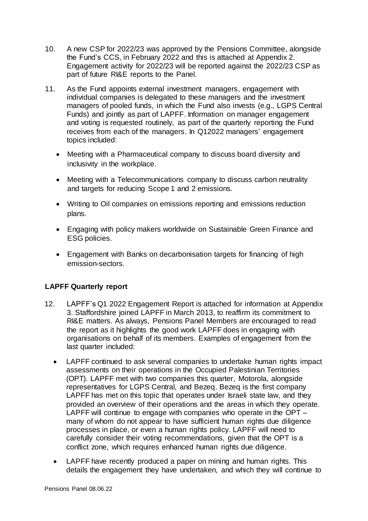- 10. A new CSP for 2022/23 was approved by the Pensions Committee, alongside the Fund's CCS, in February 2022 and this is attached at Appendix 2. Engagement activity for 2022/23 will be reported against the 2022/23 CSP as part of future RI&E reports to the Panel.
- 11. As the Fund appoints external investment managers, engagement with individual companies is delegated to these managers and the investment managers of pooled funds, in which the Fund also invests (e.g., LGPS Central Funds) and jointly as part of LAPFF. Information on manager engagement and voting is requested routinely, as part of the quarterly reporting the Fund receives from each of the managers. In Q12022 managers' engagement topics included:
	- Meeting with a Pharmaceutical company to discuss board diversity and inclusivity in the workplace.
	- Meeting with a Telecommunications company to discuss carbon neutrality and targets for reducing Scope 1 and 2 emissions.
	- Writing to Oil companies on emissions reporting and emissions reduction plans.
	- Engaging with policy makers worldwide on Sustainable Green Finance and ESG policies.
	- Engagement with Banks on decarbonisation targets for financing of high emission-sectors.

# **LAPFF Quarterly report**

- 12. LAPFF's Q1 2022 Engagement Report is attached for information at Appendix 3. Staffordshire joined LAPFF in March 2013, to reaffirm its commitment to RI&E matters. As always, Pensions Panel Members are encouraged to read the report as it highlights the good work LAPFF does in engaging with organisations on behalf of its members. Examples of engagement from the last quarter included:
	- LAPFF continued to ask several companies to undertake human rights impact assessments on their operations in the Occupied Palestinian Territories (OPT). LAPFF met with two companies this quarter, Motorola, alongside representatives for LGPS Central, and Bezeq. Bezeq is the first company LAPFF has met on this topic that operates under Israeli state law, and they provided an overview of their operations and the areas in which they operate. LAPFF will continue to engage with companies who operate in the OPT – many of whom do not appear to have sufficient human rights due diligence processes in place, or even a human rights policy. LAPFF will need to carefully consider their voting recommendations, given that the OPT is a conflict zone, which requires enhanced human rights due diligence.
	- LAPFF have recently produced a paper on mining and human rights. This details the engagement they have undertaken, and which they will continue to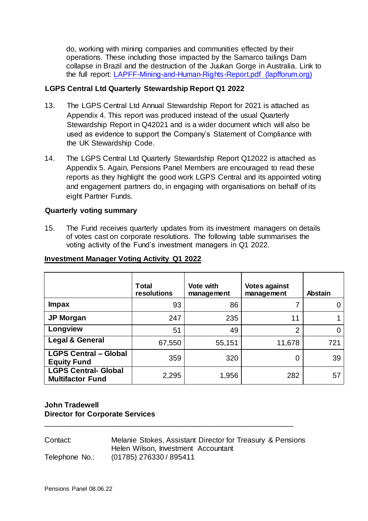do, working with mining companies and communities effected by their operations. These including those impacted by the Samarco tailings Dam collapse in Brazil and the destruction of the Juukan Gorge in Australia. Link to the full report: [LAPFF-Mining-and-Human-Rights-Report.pdf \(lapfforum.org\)](https://lapfforum.org/wp-content/uploads/2022/04/LAPFF-Mining-and-Human-Rights-Report.pdf)

## **LGPS Central Ltd Quarterly Stewardship Report Q1 2022**

- 13. The LGPS Central Ltd Annual Stewardship Report for 2021 is attached as Appendix 4. This report was produced instead of the usual Quarterly Stewardship Report in Q42021 and is a wider document which will also be used as evidence to support the Company's Statement of Compliance with the UK Stewardship Code.
- 14. The LGPS Central Ltd Quarterly Stewardship Report Q12022 is attached as Appendix 5. Again, Pensions Panel Members are encouraged to read these reports as they highlight the good work LGPS Central and its appointed voting and engagement partners do, in engaging with organisations on behalf of its eight Partner Funds.

## **Quarterly voting summary**

15. The Fund receives quarterly updates from its investment managers on details of votes cast on corporate resolutions. The following table summarises the voting activity of the Fund's investment managers in Q1 2022.

|                                                        | <b>Total</b><br>resolutions | <b>Vote with</b><br>management | <b>Votes against</b><br>management | <b>Abstain</b> |
|--------------------------------------------------------|-----------------------------|--------------------------------|------------------------------------|----------------|
| <b>Impax</b>                                           | 93                          | 86                             |                                    | 0              |
| <b>JP Morgan</b>                                       | 247                         | 235                            | 11                                 |                |
| Longview                                               | 51                          | 49                             | $\overline{2}$                     | 0              |
| <b>Legal &amp; General</b>                             | 67,550                      | 55,151                         | 11,678                             | 721            |
| <b>LGPS Central - Global</b><br><b>Equity Fund</b>     | 359                         | 320                            | 0                                  | 39             |
| <b>LGPS Central- Global</b><br><b>Multifactor Fund</b> | 2,295                       | 1,956                          | 282                                | 57             |

## **Investment Manager Voting Activity Q1 2022**

# **John Tradewell Director for Corporate Services**

Contact: Melanie Stokes, Assistant Director for Treasury & Pensions Helen Wilson, Investment Accountant Telephone No.: (01785) 276330 / 895411

\_\_\_\_\_\_\_\_\_\_\_\_\_\_\_\_\_\_\_\_\_\_\_\_\_\_\_\_\_\_\_\_\_\_\_\_\_\_\_\_\_\_\_\_\_\_\_\_\_\_\_\_\_\_\_\_\_\_\_\_